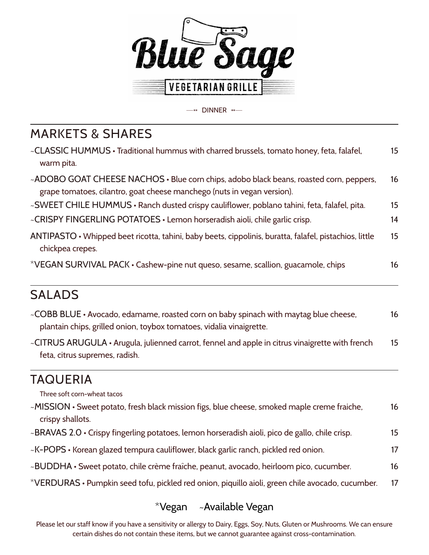

 $-$ " DINNER " $-$ 

## MARKETS & SHARES

| ~CLASSIC HUMMUS • Traditional hummus with charred brussels, tomato honey, feta, falafel,<br>warm pita.                                                            | 15 |
|-------------------------------------------------------------------------------------------------------------------------------------------------------------------|----|
| ~ADOBO GOAT CHEESE NACHOS · Blue corn chips, adobo black beans, roasted corn, peppers,<br>grape tomatoes, cilantro, goat cheese manchego (nuts in vegan version). | 16 |
| ~SWEET CHILE HUMMUS • Ranch dusted crispy cauliflower, poblano tahini, feta, falafel, pita.                                                                       | 15 |
| ~CRISPY FINGERLING POTATOES • Lemon horseradish aioli, chile garlic crisp.                                                                                        | 14 |
| ANTIPASTO • Whipped beet ricotta, tahini, baby beets, cippolinis, buratta, falafel, pistachios, little<br>chickpea crepes.                                        | 15 |
| *VEGAN SURVIVAL PACK • Cashew-pine nut queso, sesame, scallion, guacamole, chips                                                                                  | 16 |

### SALADS

| ~COBB BLUE • Avocado, edamame, roasted corn on baby spinach with maytag blue cheese, | 16 |
|--------------------------------------------------------------------------------------|----|
| plantain chips, grilled onion, toybox tomatoes, vidalia vinaigrette.                 |    |

~CITRUS ARUGULA • Arugula, julienned carrot, fennel and apple in citrus vinaigrette with french 15 feta, citrus supremes, radish.

## TAQUERIA

Three soft corn-wheat tacos

| ~MISSION • Sweet potato, fresh black mission figs, blue cheese, smoked maple creme fraiche,      | 16 |
|--------------------------------------------------------------------------------------------------|----|
| crispy shallots.                                                                                 |    |
| ~BRAVAS 2.0 • Crispy fingerling potatoes, lemon horseradish aioli, pico de gallo, chile crisp.   | 15 |
| ~K-POPS • Korean glazed tempura cauliflower, black garlic ranch, pickled red onion.              |    |
| ~BUDDHA • Sweet potato, chile crème fraîche, peanut, avocado, heirloom pico, cucumber.           | 16 |
| *VERDURAS • Pumpkin seed tofu, pickled red onion, piquillo aioli, green chile avocado, cucumber. | 17 |

#### \*Vegan ~Available Vegan

Please let our staff know if you have a sensitivity or allergy to Dairy, Eggs, Soy, Nuts, Gluten or Mushrooms. We can ensure certain dishes do not contain these items, but we cannot guarantee against cross-contamination.